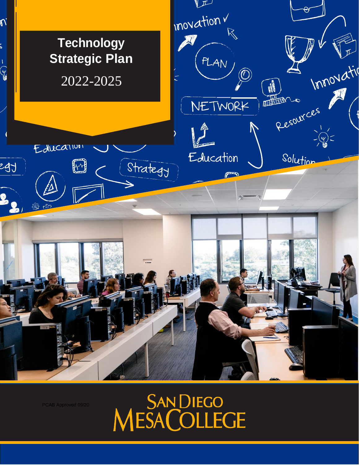

SAN DIEGO<br>MESA COLLEGE

PCAB Approved 09/20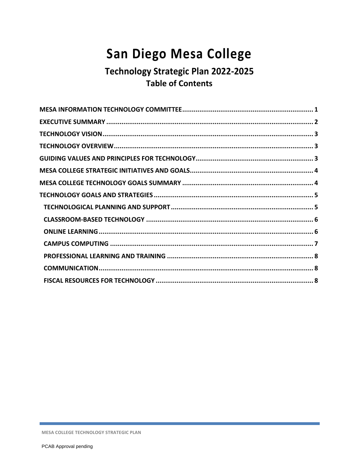# San Diego Mesa College

# Technology Strategic Plan 2022-2025 **Table of Contents**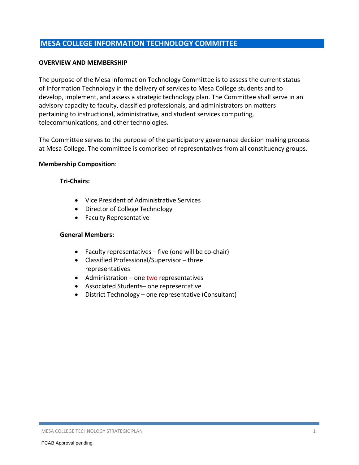#### **MESA COLLEGE INFORMATION TECHNOLOGY COMMITTEE**

#### **OVERVIEW AND MEMBERSHIP**

The purpose of the Mesa Information Technology Committee is to assess the current status of Information Technology in the delivery of services to Mesa College students and to develop, implement, and assess a strategic technology plan. The Committee shall serve in an advisory capacity to faculty, classified professionals, and administrators on matters pertaining to instructional, administrative, and student services computing, telecommunications, and other technologies.

The Committee serves to the purpose of the participatory governance decision making process at Mesa College. The committee is comprised of representatives from all constituency groups.

#### **Membership Composition**:

#### **Tri-Chairs:**

- Vice President of Administrative Services
- Director of College Technology
- Faculty Representative

#### **General Members:**

- Faculty representatives five (one will be co-chair)
- Classified Professional/Supervisor three representatives
- $\bullet$  Administration one two representatives
- Associated Students– one representative
- District Technology one representative (Consultant)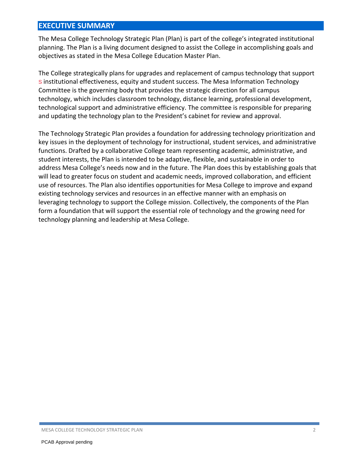# **EXECUTIVE SUMMARY**

The Mesa College Technology Strategic Plan (Plan) is part of the college's integrated institutional planning. The Plan is a living document designed to assist the College in accomplishing goals and objectives as stated in the Mesa College Education Master Plan.

The College strategically plans for upgrades and replacement of campus technology that support S institutional effectiveness, equity and student success. The Mesa Information Technology Committee is the governing body that provides the strategic direction for all campus technology, which includes classroom technology, distance learning, professional development, technological support and administrative efficiency. The committee is responsible for preparing and updating the technology plan to the President's cabinet for review and approval.

The Technology Strategic Plan provides a foundation for addressing technology prioritization and key issues in the deployment of technology for instructional, student services, and administrative functions. Drafted by a collaborative College team representing academic, administrative, and student interests, the Plan is intended to be adaptive, flexible, and sustainable in order to address Mesa College's needs now and in the future. The Plan does this by establishing goals that will lead to greater focus on student and academic needs, improved collaboration, and efficient use of resources. The Plan also identifies opportunities for Mesa College to improve and expand existing technology services and resources in an effective manner with an emphasis on leveraging technology to support the College mission. Collectively, the components of the Plan form a foundation that will support the essential role of technology and the growing need for technology planning and leadership at Mesa College.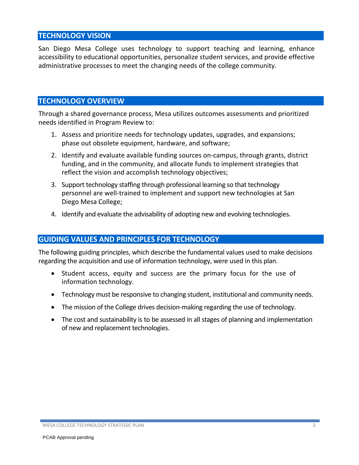## **TECHNOLOGY VISION**

San Diego Mesa College uses technology to support teaching and learning, enhance accessibility to educational opportunities, personalize student services, and provide effective administrative processes to meet the changing needs of the college community.

# **TECHNOLOGY OVERVIEW**

Through a shared governance process, Mesa utilizes outcomes assessments and prioritized needs identified in Program Review to:

- 1. Assess and prioritize needs for technology updates, upgrades, and expansions; phase out obsolete equipment, hardware, and software;
- 2. Identify and evaluate available funding sources on-campus, through grants, district funding, and in the community, and allocate funds to implement strategies that reflect the vision and accomplish technology objectives;
- 3. Support technology staffing through professional learning so that technology personnel are well-trained to implement and support new technologies at San Diego Mesa College;
- 4. Identify and evaluate the advisability of adopting new and evolving technologies.

#### **GUIDING VALUES AND PRINCIPLES FOR TECHNOLOGY**

The following guiding principles, which describe the fundamental values used to make decisions regarding the acquisition and use of information technology, were used in this plan.

- Student access, equity and success are the primary focus for the use of information technology.
- Technology must be responsive to changing student, institutional and community needs.
- The mission of the College drives decision-making regarding the use of technology.
- The cost and sustainability is to be assessed in all stages of planning and implementation of new and replacement technologies.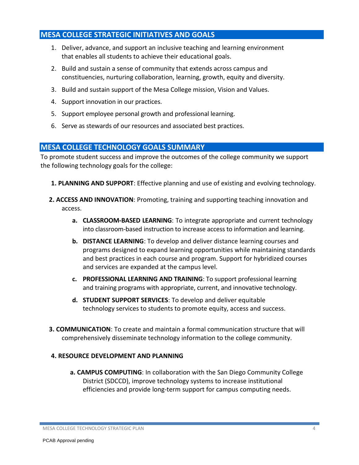# **MESA COLLEGE STRATEGIC INITIATIVES AND GOALS**

- 1. Deliver, advance, and support an inclusive teaching and learning environment that enables all students to achieve their educational goals.
- 2. Build and sustain a sense of community that extends across campus and constituencies, nurturing collaboration, learning, growth, equity and diversity.
- 3. Build and sustain support of the Mesa College mission, Vision and Values.
- 4. Support innovation in our practices.
- 5. Support employee personal growth and professional learning.
- 6. Serve as stewards of our resources and associated best practices.

#### **MESA COLLEGE TECHNOLOGY GOALS SUMMARY**

To promote student success and improve the outcomes of the college community we support the following technology goals for the college:

- **1. PLANNING AND SUPPORT**: Effective planning and use of existing and evolving technology.
- **2. ACCESS AND INNOVATION**: Promoting, training and supporting teaching innovation and access.
	- **a. CLASSROOM-BASED LEARNING**: To integrate appropriate and current technology into classroom-based instruction to increase access to information and learning.
	- **b. DISTANCE LEARNING**: To develop and deliver distance learning courses and programs designed to expand learning opportunities while maintaining standards and best practices in each course and program. Support for hybridized courses and services are expanded at the campus level.
	- **c. PROFESSIONAL LEARNING AND TRAINING**: To support professional learning and training programs with appropriate, current, and innovative technology.
	- **d. STUDENT SUPPORT SERVICES**: To develop and deliver equitable technology services to students to promote equity, access and success.
- **3. COMMUNICATION**: To create and maintain a formal communication structure that will comprehensively disseminate technology information to the college community.

#### **4. RESOURCE DEVELOPMENT AND PLANNING**

**a. CAMPUS COMPUTING**: In collaboration with the San Diego Community College District (SDCCD), improve technology systems to increase institutional efficiencies and provide long-term support for campus computing needs.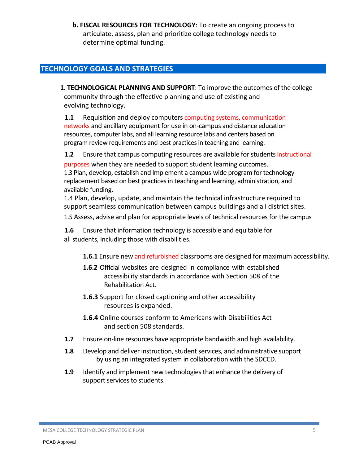**b. FISCAL RESOURCES FOR TECHNOLOGY**: To create an ongoing process to articulate, assess, plan and prioritize college technology needs to determine optimal funding.

# **TECHNOLOGY GOALS AND STRATEGIES**

**1. TECHNOLOGICAL PLANNING AND SUPPORT**: To improve the outcomes of the college community through the effective planning and use of existing and evolving technology.

**1.1** Requisition and deploy computers computing systems, communication networks and ancillary equipment for use in on-campus and distance education resources, computer labs, and all learning resource labs and centers based on program review requirements and best practices in teaching and learning.

**1.2** Ensure that campus computing resources are available for students instructional

purposes when they are needed to support student learning outcomes. 1.3 Plan, develop, establish and implement a campus-wide program for technology replacement based on best practices in teaching and learning, administration, and available funding.

1.4 Plan, develop, update, and maintain the technical infrastructure required to support seamless communication between campus buildings and all district sites.

1.5 Assess, advise and plan for appropriate levels of technical resources for the campus

**1.6** Ensure that information technology is accessible and equitable for all students, including those with disabilities.

**1.6.1** Ensure new and refurbished classrooms are designed for maximum accessibility.

- **1.6.2** Official websites are designed in compliance with established accessibility standards in accordance with Section 508 of the Rehabilitation Act.
- **1.6.3** Support for closed captioning and other accessibility resources is expanded.
- **1.6.4** Online courses conform to Americans with Disabilities Act and section 508 standards.
- **1.7** Ensure on-line resources have appropriate bandwidth and high availability.
- **1.8** Develop and deliver instruction, student services, and administrative support by using an integrated system in collaboration with the SDCCD.
- **1.9** Identify and implement new technologies that enhance the delivery of support services to students.

MESA COLLEGE TECHNOLOGY STRATEGIC PLAN 5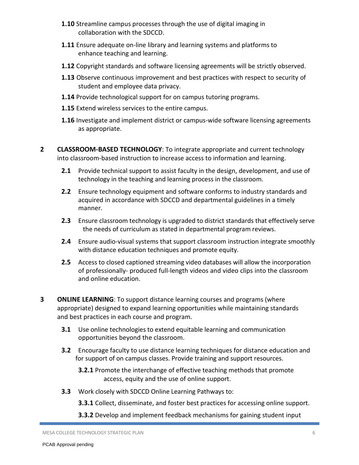- **1.10** Streamline campus processes through the use of digital imaging in collaboration with the SDCCD.
- **1.11** Ensure adequate on-line library and learning systems and platforms to enhance teaching and learning.
- **1.12** Copyright standards and software licensing agreements will be strictly observed.
- **1.13** Observe continuous improvement and best practices with respect to security of student and employee data privacy.
- **1.14** Provide technological support for on campus tutoring programs.
- **1.15** Extend wireless services to the entire campus.
- **1.16** Investigate and implement district or campus-wide software licensing agreements as appropriate.
- **2 CLASSROOM-BASED TECHNOLOGY**: To integrate appropriate and current technology into classroom-based instruction to increase access to information and learning.
	- **2.1** Provide technical support to assist faculty in the design, development, and use of technology in the teaching and learning process in the classroom.
	- **2.2** Ensure technology equipment and software conforms to industry standards and acquired in accordance with SDCCD and departmental guidelines in a timely manner.
	- **2.3** Ensure classroom technology is upgraded to district standards that effectively serve the needs of curriculum as stated in departmental program reviews.
	- **2.4** Ensure audio-visual systems that support classroom instruction integrate smoothly with distance education techniques and promote equity.
	- **2.5** Access to closed captioned streaming video databases will allow the incorporation of professionally- produced full-length videos and video clips into the classroom and online education.
- **3 ONLINE LEARNING**: To support distance learning courses and programs (where appropriate) designed to expand learning opportunities while maintaining standards and best practices in each course and program.
	- **3.1** Use online technologies to extend equitable learning and communication opportunities beyond the classroom.
	- **3.2** Encourage faculty to use distance learning techniques for distance education and for support of on campus classes. Provide training and support resources.
		- **3.2.1** Promote the interchange of effective teaching methods that promote access, equity and the use of online support.
	- **3.3** Work closely with SDCCD Online Learning Pathways to:
		- **3.3.1** Collect, disseminate, and foster best practices for accessing online support.
		- **3.3.2** Develop and implement feedback mechanisms for gaining student input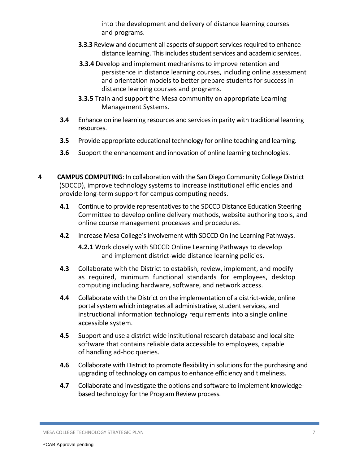into the development and delivery of distance learning courses and programs.

- **3.3.3** Review and document all aspects of support services required to enhance distance learning. This includes student services and academic services.
- **3.3.4** Develop and implement mechanisms to improve retention and persistence in distance learning courses, including online assessment and orientation models to better prepare students for success in distance learning courses and programs.
- **3.3.5** Train and support the Mesa community on appropriate Learning Management Systems.
- **3.4** Enhance online learning resources and services in parity with traditional learning resources.
- **3.5** Provide appropriate educational technology for online teaching and learning.
- **3.6** Support the enhancement and innovation of online learning technologies.
- **4 CAMPUS COMPUTING**: In collaboration with the San Diego Community College District (SDCCD), improve technology systems to increase institutional efficiencies and provide long-term support for campus computing needs.
	- **4.1** Continue to provide representatives to the SDCCD Distance Education Steering Committee to develop online delivery methods, website authoring tools, and online course management processes and procedures.
	- **4.2** Increase Mesa College's involvement with SDCCD Online Learning Pathways.

**4.2.1** Work closely with SDCCD Online Learning Pathways to develop and implement district-wide distance learning policies.

- **4.3** Collaborate with the District to establish, review, implement, and modify as required, minimum functional standards for employees, desktop computing including hardware, software, and network access.
- **4.4** Collaborate with the District on the implementation of a district-wide, online portal system which integrates all administrative, student services, and instructional information technology requirements into a single online accessible system.
- **4.5** Support and use a district-wide institutional research database and local site software that contains reliable data accessible to employees, capable of handling ad-hoc queries.
- **4.6** Collaborate with District to promote flexibility in solutions for the purchasing and upgrading of technology on campus to enhance efficiency and timeliness.
- **4.7** Collaborate and investigate the options and software to implement knowledgebased technology for the Program Review process.

MESA COLLEGE TECHNOLOGY STRATEGIC PLAN 7